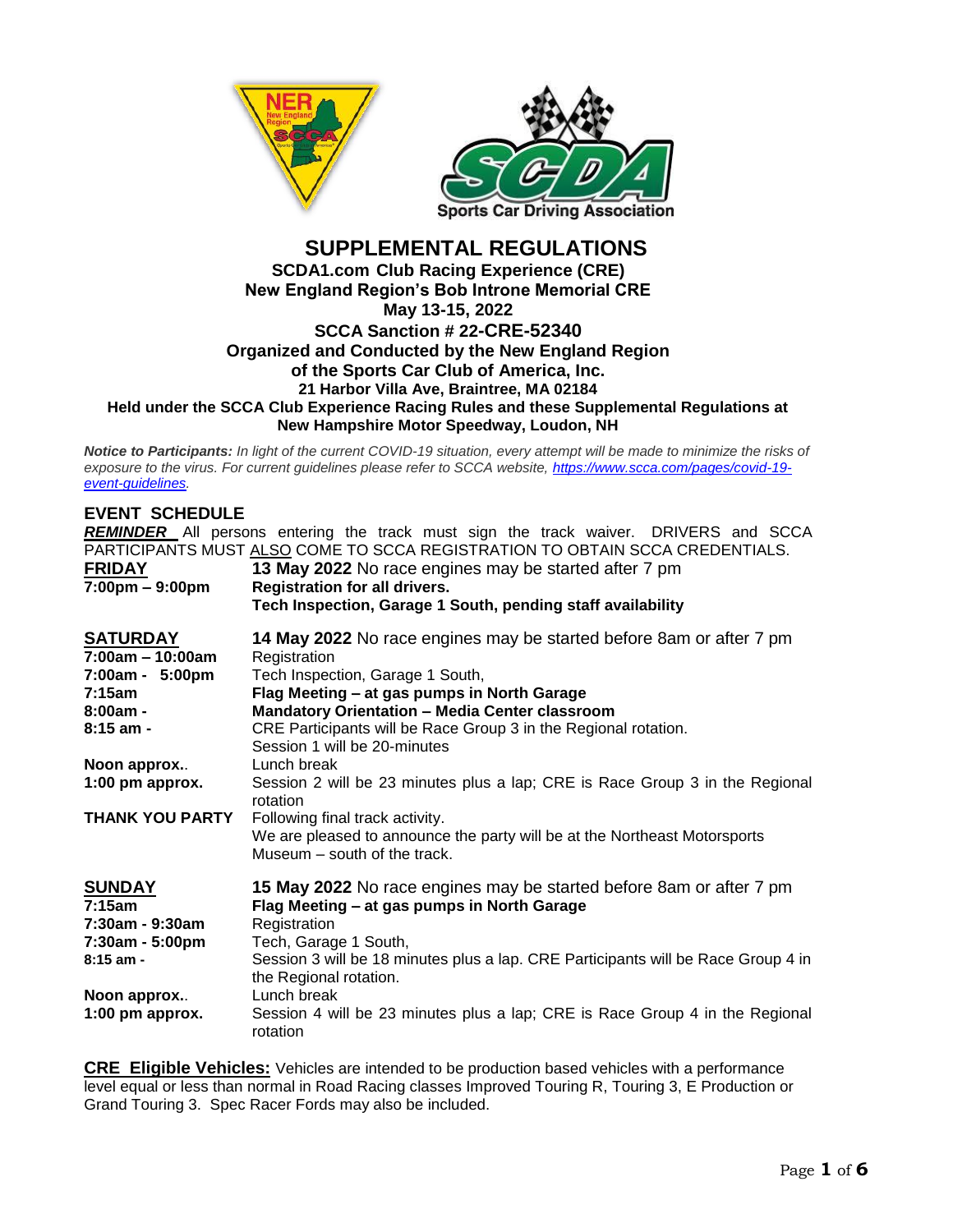



### **SUPPLEMENTAL REGULATIONS SCDA1.com Club Racing Experience (CRE) New England Region's Bob Introne Memorial CRE May 13-15, 2022 SCCA Sanction # 22-CRE-52340 Organized and Conducted by the New England Region of the Sports Car Club of America, Inc. 21 Harbor Villa Ave, Braintree, MA 02184 Held under the SCCA Club Experience Racing Rules and these Supplemental Regulations at New Hampshire Motor Speedway, Loudon, NH**

*Notice to Participants: In light of the current COVID-19 situation, every attempt will be made to minimize the risks of exposure to the virus. For current guidelines please refer to SCCA website, [https://www.scca.com/pages/covid-19](https://www.scca.com/pages/covid-19-event-guidelines) [event-guidelines.](https://www.scca.com/pages/covid-19-event-guidelines)* 

## **EVENT SCHEDULE**

*REMINDER* All persons entering the track must sign the track waiver. DRIVERS and SCCA PARTICIPANTS MUST ALSO COME TO SCCA REGISTRATION TO OBTAIN SCCA CREDENTIALS.

| <b>FRIDAY</b><br>$7:00 \text{pm} - 9:00 \text{pm}$ | 13 May 2022 No race engines may be started after 7 pm<br><b>Registration for all drivers.</b><br>Tech Inspection, Garage 1 South, pending staff availability |
|----------------------------------------------------|--------------------------------------------------------------------------------------------------------------------------------------------------------------|
| <b>SATURDAY</b>                                    | 14 May 2022 No race engines may be started before 8am or after 7 pm                                                                                          |
| $7:00am - 10:00am$                                 | Registration                                                                                                                                                 |
| 7:00am - 5:00pm                                    | Tech Inspection, Garage 1 South,                                                                                                                             |
| 7:15am                                             | Flag Meeting - at gas pumps in North Garage                                                                                                                  |
| $8:00am -$                                         | <b>Mandatory Orientation - Media Center classroom</b>                                                                                                        |
| $8:15$ am -                                        | CRE Participants will be Race Group 3 in the Regional rotation.<br>Session 1 will be 20-minutes                                                              |
| Noon approx                                        | Lunch break                                                                                                                                                  |
| 1:00 pm approx.                                    | Session 2 will be 23 minutes plus a lap; CRE is Race Group 3 in the Regional<br>rotation                                                                     |
| <b>THANK YOU PARTY</b>                             | Following final track activity.<br>We are pleased to announce the party will be at the Northeast Motorsports<br>Museum – south of the track.                 |
| <b>SUNDAY</b>                                      | 15 May 2022 No race engines may be started before 8am or after 7 pm                                                                                          |
| 7:15am                                             | Flag Meeting - at gas pumps in North Garage                                                                                                                  |
| 7:30am - 9:30am                                    | Registration                                                                                                                                                 |
| 7:30am - 5:00pm                                    | Tech, Garage 1 South,                                                                                                                                        |
| $8:15$ am -                                        | Session 3 will be 18 minutes plus a lap. CRE Participants will be Race Group 4 in<br>the Regional rotation.                                                  |
| Noon approx                                        | Lunch break                                                                                                                                                  |
| 1:00 pm approx.                                    | Session 4 will be 23 minutes plus a lap; CRE is Race Group 4 in the Regional<br>rotation                                                                     |

**CRE Eligible Vehicles:** Vehicles are intended to be production based vehicles with a performance level equal or less than normal in Road Racing classes Improved Touring R, Touring 3, E Production or Grand Touring 3. Spec Racer Fords may also be included.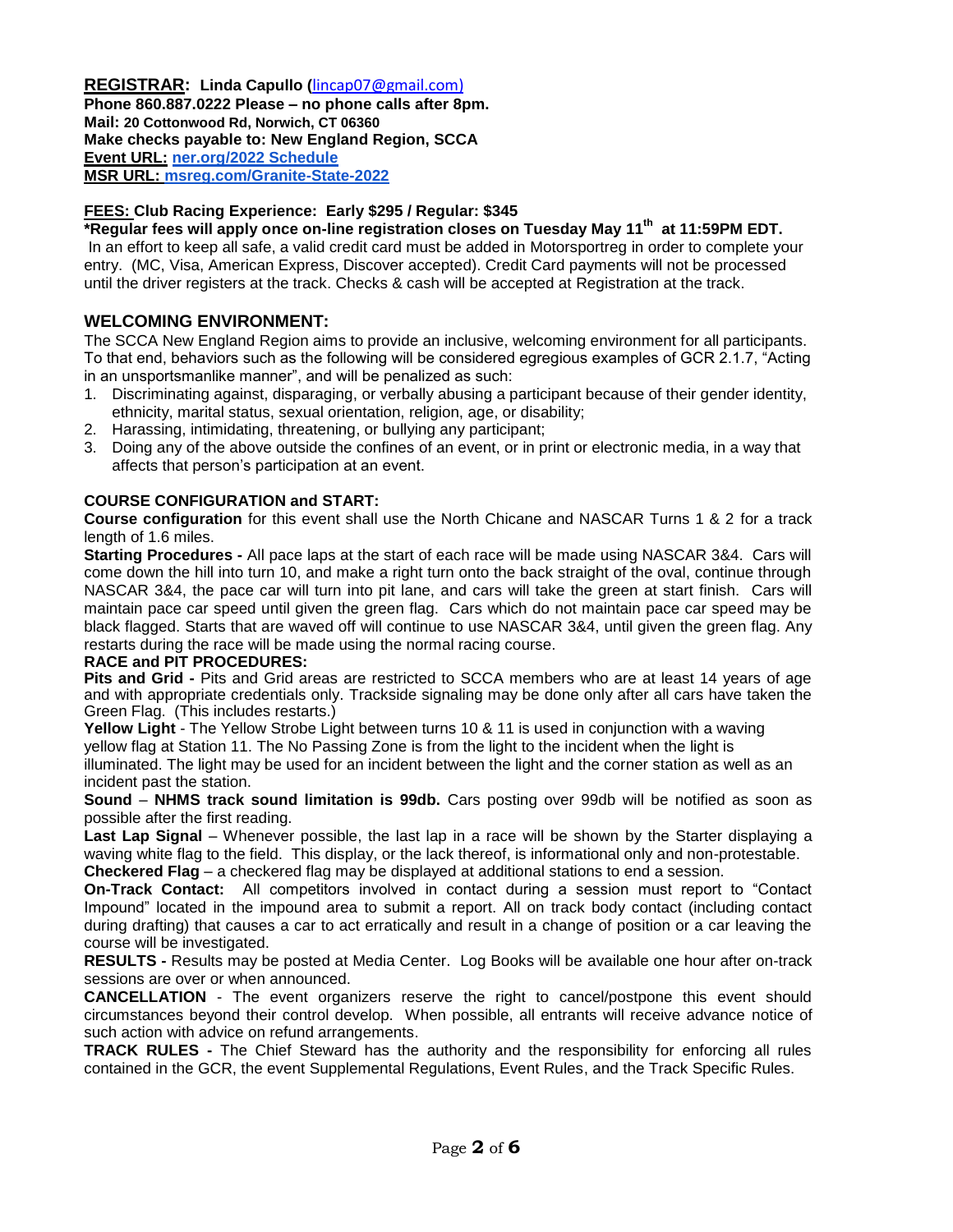## **REGISTRAR: Linda Capullo (**[lincap07@gmail.com\)](mailto:lincap07@gmail.com)

**Phone 860.887.0222 Please – no phone calls after 8pm. Mail: 20 Cottonwood Rd, Norwich, CT 06360 Make checks payable to: New England Region, SCCA Event URL: [ner.org/2022 Schedule](https://ner.org/2022-nerrc-schedule/) MSR URL: [msreg.com/Granite-State-2022](https://www.motorsportreg.com/events/ner-granite-state-regional-nerrc-2-new-hampshire-motor-speedway-scca-416744)**

### **FEES: Club Racing Experience: Early \$295 / Regular: \$345**

**\*Regular fees will apply once on-line registration closes on Tuesday May 11th at 11:59PM EDT.** In an effort to keep all safe, a valid credit card must be added in Motorsportreg in order to complete your entry. (MC, Visa, American Express, Discover accepted). Credit Card payments will not be processed until the driver registers at the track. Checks & cash will be accepted at Registration at the track.

## **WELCOMING ENVIRONMENT:**

The SCCA New England Region aims to provide an inclusive, welcoming environment for all participants. To that end, behaviors such as the following will be considered egregious examples of GCR 2.1.7, "Acting in an unsportsmanlike manner", and will be penalized as such:

- 1. Discriminating against, disparaging, or verbally abusing a participant because of their gender identity, ethnicity, marital status, sexual orientation, religion, age, or disability;
- 2. Harassing, intimidating, threatening, or bullying any participant;
- 3. Doing any of the above outside the confines of an event, or in print or electronic media, in a way that affects that person's participation at an event.

#### **COURSE CONFIGURATION and START:**

**Course configuration** for this event shall use the North Chicane and NASCAR Turns 1 & 2 for a track length of 1.6 miles.

**Starting Procedures -** All pace laps at the start of each race will be made using NASCAR 3&4. Cars will come down the hill into turn 10, and make a right turn onto the back straight of the oval, continue through NASCAR 3&4, the pace car will turn into pit lane, and cars will take the green at start finish. Cars will maintain pace car speed until given the green flag. Cars which do not maintain pace car speed may be black flagged. Starts that are waved off will continue to use NASCAR 3&4, until given the green flag. Any restarts during the race will be made using the normal racing course.

#### **RACE and PIT PROCEDURES:**

**Pits and Grid -** Pits and Grid areas are restricted to SCCA members who are at least 14 years of age and with appropriate credentials only. Trackside signaling may be done only after all cars have taken the Green Flag. (This includes restarts.)

**Yellow Light** - The Yellow Strobe Light between turns 10 & 11 is used in conjunction with a waving yellow flag at Station 11. The No Passing Zone is from the light to the incident when the light is

illuminated. The light may be used for an incident between the light and the corner station as well as an incident past the station.

**Sound** – **NHMS track sound limitation is 99db.** Cars posting over 99db will be notified as soon as possible after the first reading.

Last Lap Signal – Whenever possible, the last lap in a race will be shown by the Starter displaying a waving white flag to the field. This display, or the lack thereof, is informational only and non-protestable. **Checkered Flag** – a checkered flag may be displayed at additional stations to end a session.

**On-Track Contact:** All competitors involved in contact during a session must report to "Contact Impound" located in the impound area to submit a report. All on track body contact (including contact during drafting) that causes a car to act erratically and result in a change of position or a car leaving the course will be investigated.

**RESULTS -** Results may be posted at Media Center. Log Books will be available one hour after on-track sessions are over or when announced.

**CANCELLATION** - The event organizers reserve the right to cancel/postpone this event should circumstances beyond their control develop. When possible, all entrants will receive advance notice of such action with advice on refund arrangements.

**TRACK RULES -** The Chief Steward has the authority and the responsibility for enforcing all rules contained in the GCR, the event Supplemental Regulations, Event Rules, and the Track Specific Rules.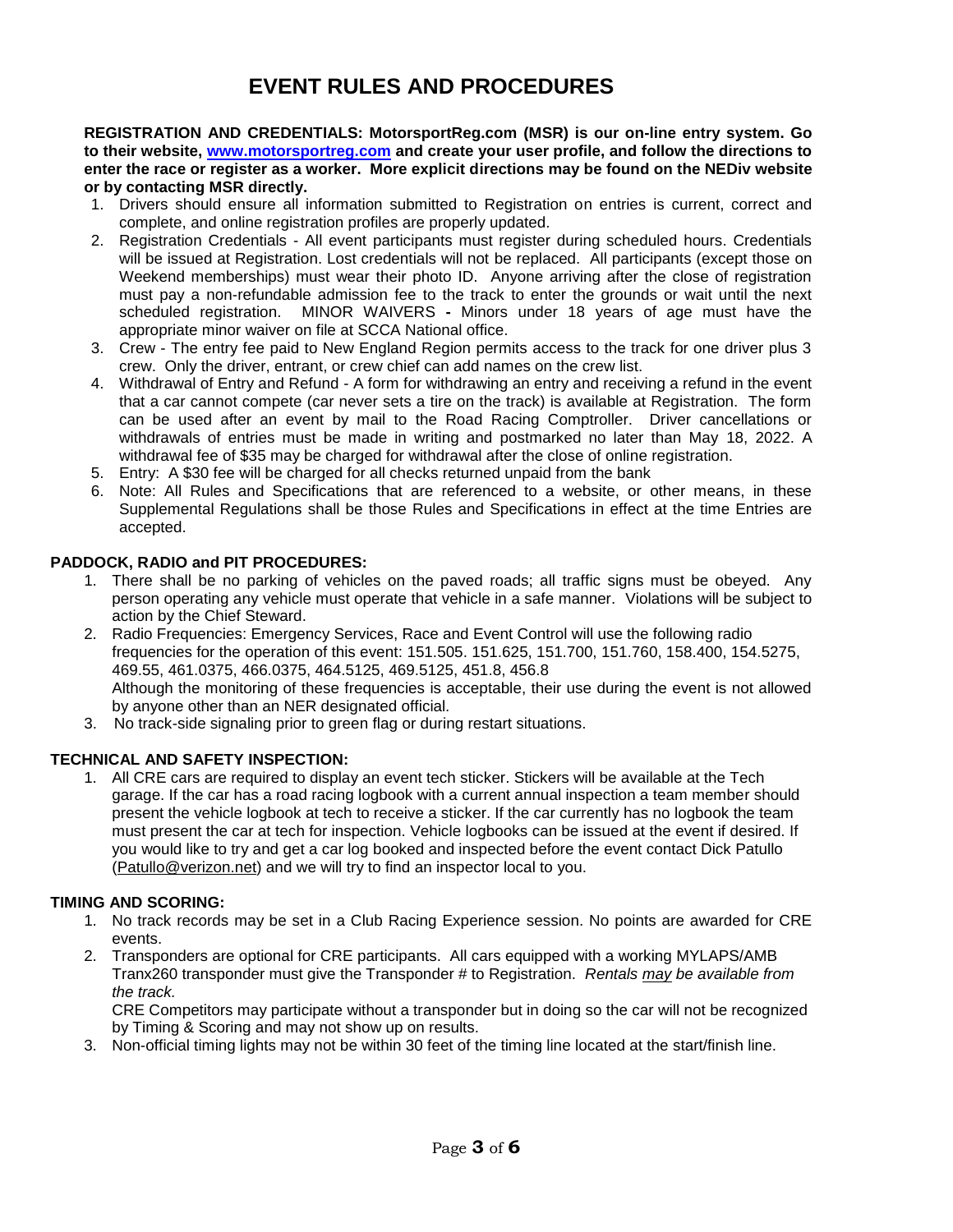# **EVENT RULES AND PROCEDURES**

**REGISTRATION AND CREDENTIALS: MotorsportReg.com (MSR) is our on-line entry system. Go to their website, [www.motorsportreg.com](http://www.motorsportreg.com/) and create your user profile, and follow the directions to enter the race or register as a worker. More explicit directions may be found on the NEDiv website or by contacting MSR directly.**

- 1. Drivers should ensure all information submitted to Registration on entries is current, correct and complete, and online registration profiles are properly updated.
- 2. Registration Credentials All event participants must register during scheduled hours. Credentials will be issued at Registration. Lost credentials will not be replaced. All participants (except those on Weekend memberships) must wear their photo ID. Anyone arriving after the close of registration must pay a non-refundable admission fee to the track to enter the grounds or wait until the next scheduled registration. MINOR WAIVERS **-** Minors under 18 years of age must have the appropriate minor waiver on file at SCCA National office.
- 3. Crew The entry fee paid to New England Region permits access to the track for one driver plus 3 crew. Only the driver, entrant, or crew chief can add names on the crew list.
- 4. Withdrawal of Entry and Refund A form for withdrawing an entry and receiving a refund in the event that a car cannot compete (car never sets a tire on the track) is available at Registration. The form can be used after an event by mail to the Road Racing Comptroller. Driver cancellations or withdrawals of entries must be made in writing and postmarked no later than May 18, 2022. A withdrawal fee of \$35 may be charged for withdrawal after the close of online registration.
- 5. Entry: A \$30 fee will be charged for all checks returned unpaid from the bank
- 6. Note: All Rules and Specifications that are referenced to a website, or other means, in these Supplemental Regulations shall be those Rules and Specifications in effect at the time Entries are accepted.

#### **PADDOCK, RADIO and PIT PROCEDURES:**

- 1. There shall be no parking of vehicles on the paved roads; all traffic signs must be obeyed. Any person operating any vehicle must operate that vehicle in a safe manner. Violations will be subject to action by the Chief Steward.
- 2. Radio Frequencies: Emergency Services, Race and Event Control will use the following radio frequencies for the operation of this event: 151.505. 151.625, 151.700, 151.760, 158.400, 154.5275, 469.55, 461.0375, 466.0375, 464.5125, 469.5125, 451.8, 456.8 Although the monitoring of these frequencies is acceptable, their use during the event is not allowed by anyone other than an NER designated official.
- 3. No track-side signaling prior to green flag or during restart situations.

#### **TECHNICAL AND SAFETY INSPECTION:**

1. All CRE cars are required to display an event tech sticker. Stickers will be available at the Tech garage. If the car has a road racing logbook with a current annual inspection a team member should present the vehicle logbook at tech to receive a sticker. If the car currently has no logbook the team must present the car at tech for inspection. Vehicle logbooks can be issued at the event if desired. If you would like to try and get a car log booked and inspected before the event contact Dick Patullo [\(Patullo@verizon.net\)](mailto:Patullo@verizon.net) and we will try to find an inspector local to you.

#### **TIMING AND SCORING:**

- 1. No track records may be set in a Club Racing Experience session. No points are awarded for CRE events.
- 2. Transponders are optional for CRE participants. All cars equipped with a working MYLAPS/AMB Tranx260 transponder must give the Transponder # to Registration. *Rentals may be available from the track.*

CRE Competitors may participate without a transponder but in doing so the car will not be recognized by Timing & Scoring and may not show up on results.

3. Non-official timing lights may not be within 30 feet of the timing line located at the start/finish line.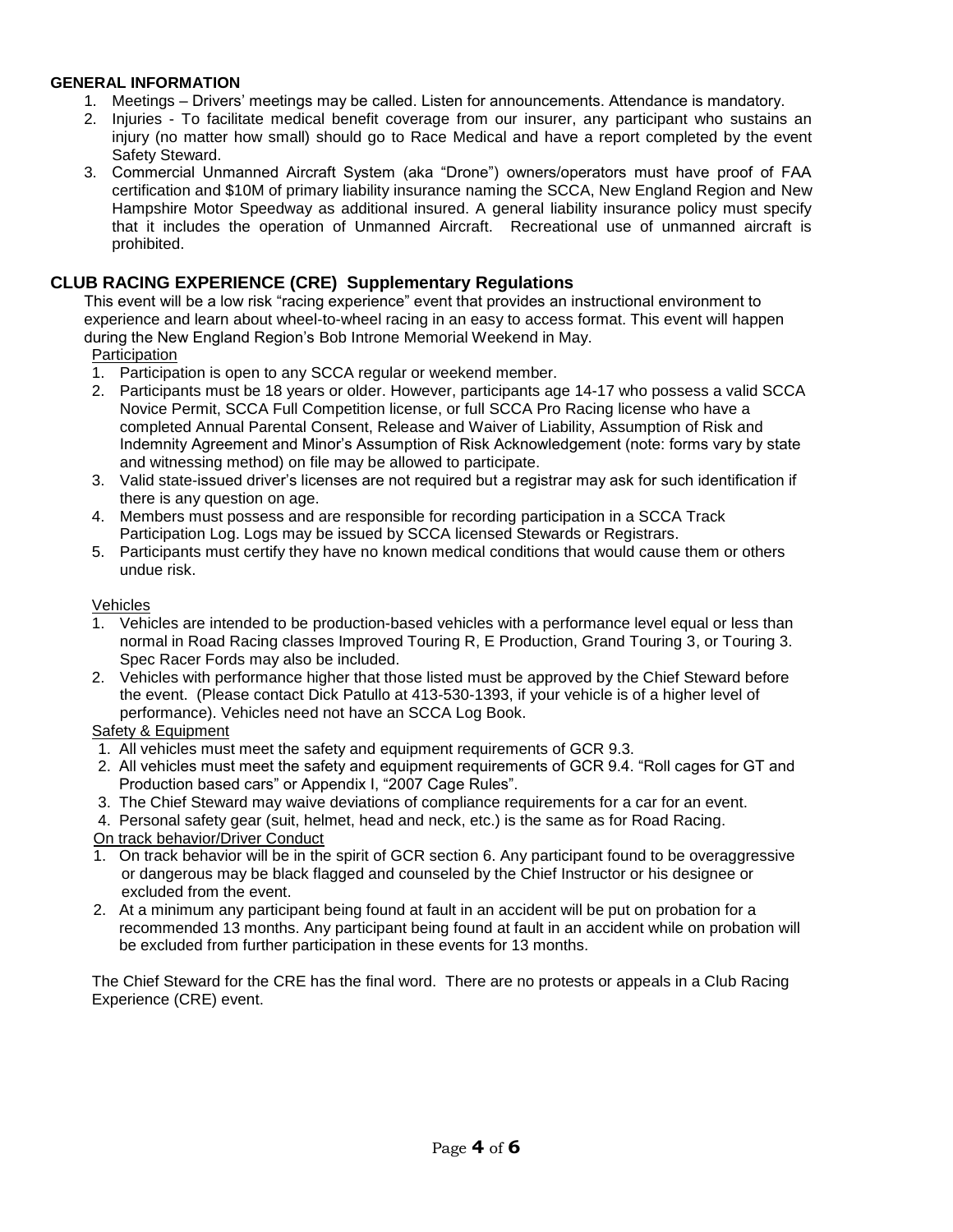### **GENERAL INFORMATION**

- 1. Meetings Drivers' meetings may be called. Listen for announcements. Attendance is mandatory.
- 2. Injuries To facilitate medical benefit coverage from our insurer, any participant who sustains an injury (no matter how small) should go to Race Medical and have a report completed by the event Safety Steward.
- 3. Commercial Unmanned Aircraft System (aka "Drone") owners/operators must have proof of FAA certification and \$10M of primary liability insurance naming the SCCA, New England Region and New Hampshire Motor Speedway as additional insured. A general liability insurance policy must specify that it includes the operation of Unmanned Aircraft. Recreational use of unmanned aircraft is prohibited.

## **CLUB RACING EXPERIENCE (CRE) Supplementary Regulations**

This event will be a low risk "racing experience" event that provides an instructional environment to experience and learn about wheel-to-wheel racing in an easy to access format. This event will happen during the New England Region's Bob Introne Memorial Weekend in May.

#### **Participation**

- 1. Participation is open to any SCCA regular or weekend member.
- 2. Participants must be 18 years or older. However, participants age 14-17 who possess a valid SCCA Novice Permit, SCCA Full Competition license, or full SCCA Pro Racing license who have a completed Annual Parental Consent, Release and Waiver of Liability, Assumption of Risk and Indemnity Agreement and Minor's Assumption of Risk Acknowledgement (note: forms vary by state and witnessing method) on file may be allowed to participate.
- 3. Valid state-issued driver's licenses are not required but a registrar may ask for such identification if there is any question on age.
- 4. Members must possess and are responsible for recording participation in a SCCA Track Participation Log. Logs may be issued by SCCA licensed Stewards or Registrars.
- 5. Participants must certify they have no known medical conditions that would cause them or others undue risk.

#### Vehicles

- 1. Vehicles are intended to be production-based vehicles with a performance level equal or less than normal in Road Racing classes Improved Touring R, E Production, Grand Touring 3, or Touring 3. Spec Racer Fords may also be included.
- 2. Vehicles with performance higher that those listed must be approved by the Chief Steward before the event. (Please contact Dick Patullo at 413-530-1393, if your vehicle is of a higher level of performance). Vehicles need not have an SCCA Log Book.

# Safety & Equipment

- 1. All vehicles must meet the safety and equipment requirements of GCR 9.3.
- 2. All vehicles must meet the safety and equipment requirements of GCR 9.4. "Roll cages for GT and Production based cars" or Appendix I, "2007 Cage Rules".
- 3. The Chief Steward may waive deviations of compliance requirements for a car for an event.
- 4. Personal safety gear (suit, helmet, head and neck, etc.) is the same as for Road Racing.

On track behavior/Driver Conduct

- 1. On track behavior will be in the spirit of GCR section 6. Any participant found to be overaggressive or dangerous may be black flagged and counseled by the Chief Instructor or his designee or excluded from the event.
- 2. At a minimum any participant being found at fault in an accident will be put on probation for a recommended 13 months. Any participant being found at fault in an accident while on probation will be excluded from further participation in these events for 13 months.

The Chief Steward for the CRE has the final word. There are no protests or appeals in a Club Racing Experience (CRE) event.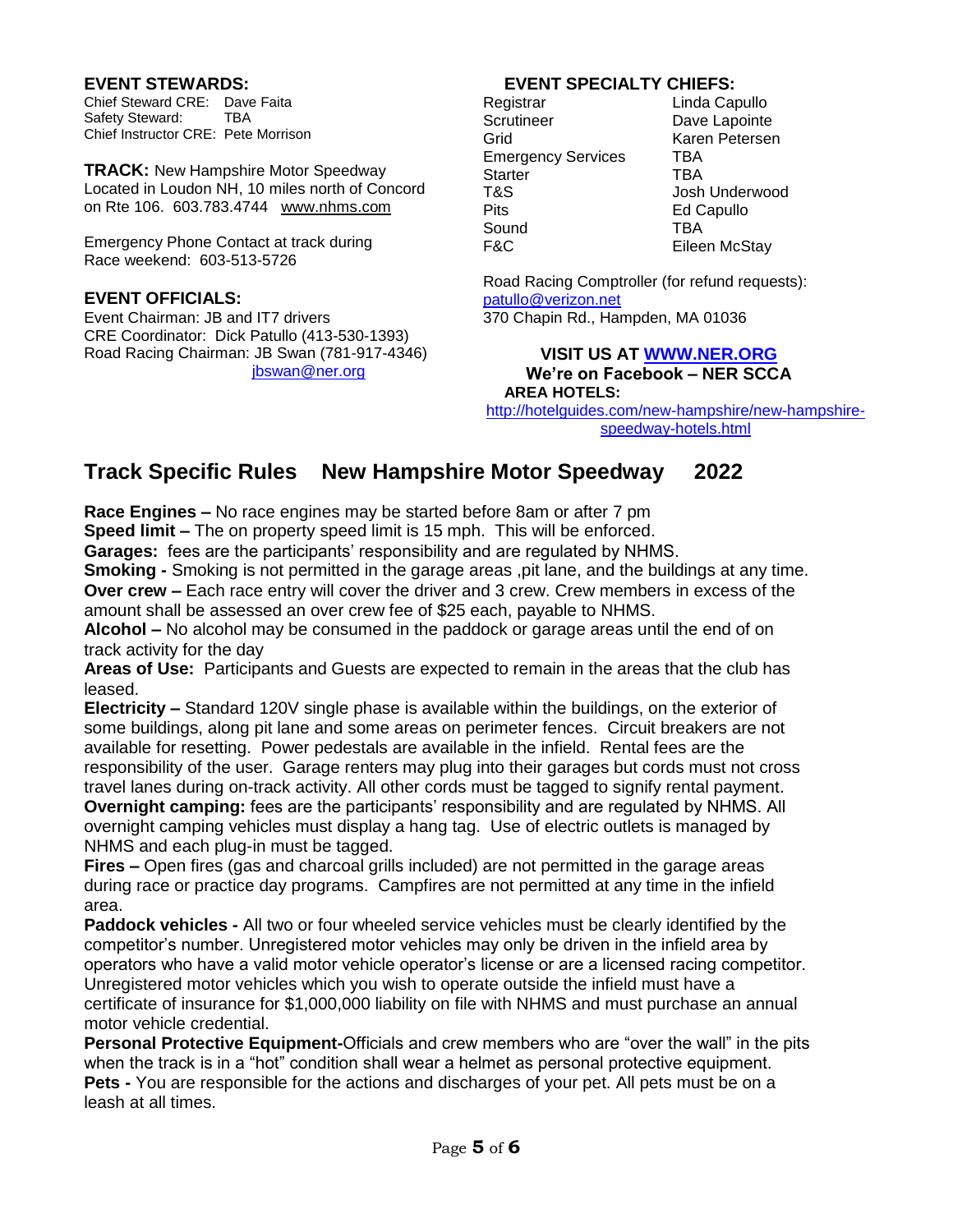### **EVENT STEWARDS:**

Chief Steward CRE: Dave Faita Safety Steward: TBA Chief Instructor CRE: Pete Morrison

**TRACK:** New Hampshire Motor Speedway Located in Loudon NH, 10 miles north of Concord on Rte 106. 603.783.4744 [www.nhms.com](about:blank)

Emergency Phone Contact at track during Race weekend: 603-513-5726

## **EVENT OFFICIALS:**

Event Chairman: JB and IT7 drivers CRE Coordinator: Dick Patullo (413-530-1393) Road Racing Chairman: JB Swan (781-917-4346) [jbswan@ner.org](mailto:jbswan@ner.org)

# **EVENT SPECIALTY CHIEFS:**

Registrar Linda Capullo<br>Scrutineer Dave Lapointe Grid Karen Petersen Emergency Services TBA Starter TBA T&S Josh Underwood Pits **Ed Capullo** Sound **TBA** F&C Eileen McStay

Dave Lapointe

Road Racing Comptroller (for refund requests): [patullo@verizon.net](mailto:patullo@verizon.net) 370 Chapin Rd., Hampden, MA 01036

#### **VISIT US AT [WWW.NER.ORG](http://www.ner.org/) We're on Facebook – NER SCCA AREA HOTELS:**

[http://hotelguides.com/new-hampshire/new-hampshire](http://hotelguides.com/new-hampshire/new-hampshire-speedway-hotels.html)[speedway-hotels.html](http://hotelguides.com/new-hampshire/new-hampshire-speedway-hotels.html)

# **Track Specific Rules New Hampshire Motor Speedway 2022**

**Race Engines –** No race engines may be started before 8am or after 7 pm **Speed limit –** The on property speed limit is 15 mph. This will be enforced.

**Garages:** fees are the participants' responsibility and are regulated by NHMS.

**Smoking -** Smoking is not permitted in the garage areas ,pit lane, and the buildings at any time. **Over crew –** Each race entry will cover the driver and 3 crew. Crew members in excess of the amount shall be assessed an over crew fee of \$25 each, payable to NHMS.

**Alcohol –** No alcohol may be consumed in the paddock or garage areas until the end of on track activity for the day

**Areas of Use:** Participants and Guests are expected to remain in the areas that the club has leased.

**Electricity –** Standard 120V single phase is available within the buildings, on the exterior of some buildings, along pit lane and some areas on perimeter fences. Circuit breakers are not available for resetting. Power pedestals are available in the infield. Rental fees are the responsibility of the user. Garage renters may plug into their garages but cords must not cross travel lanes during on-track activity. All other cords must be tagged to signify rental payment.

**Overnight camping:** fees are the participants' responsibility and are regulated by NHMS. All overnight camping vehicles must display a hang tag. Use of electric outlets is managed by NHMS and each plug-in must be tagged.

**Fires –** Open fires (gas and charcoal grills included) are not permitted in the garage areas during race or practice day programs. Campfires are not permitted at any time in the infield area.

**Paddock vehicles -** All two or four wheeled service vehicles must be clearly identified by the competitor's number. Unregistered motor vehicles may only be driven in the infield area by operators who have a valid motor vehicle operator's license or are a licensed racing competitor. Unregistered motor vehicles which you wish to operate outside the infield must have a certificate of insurance for \$1,000,000 liability on file with NHMS and must purchase an annual motor vehicle credential.

**Personal Protective Equipment-**Officials and crew members who are "over the wall" in the pits when the track is in a "hot" condition shall wear a helmet as personal protective equipment. **Pets -** You are responsible for the actions and discharges of your pet. All pets must be on a leash at all times.